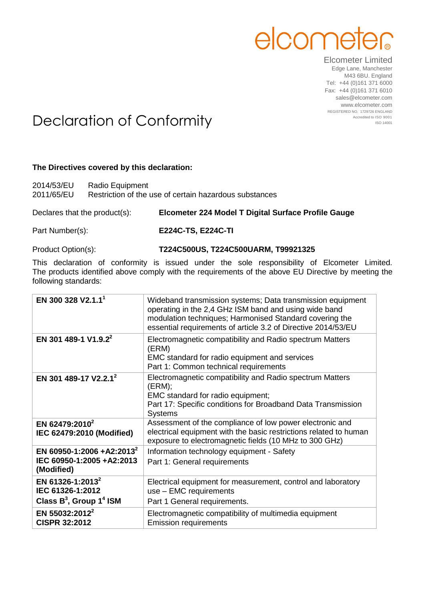

Elcometer Limited Edge Lane, Manchester M43 6BU. England Tel: +44 (0)161 371 6000 Fax: +44 (0)161 371 6010 sales@elcometer.com www.elcometer.com REGISTERED NO. 1729726 ENGLAND

## Declaration of Conformity Accredited to ISO 9001

## **The Directives covered by this declaration:**

| 2014/53/EU | Radio Equipment                                        |
|------------|--------------------------------------------------------|
| 2011/65/EU | Restriction of the use of certain hazardous substances |

Declares that the product(s): **Elcometer 224 Model T Digital Surface Profile Gauge**

Part Number(s): **E224C-TS, E224C-TI**

## Product Option(s): **T224C500US, T224C500UARM, T99921325**

This declaration of conformity is issued under the sole responsibility of Elcometer Limited. The products identified above comply with the requirements of the above EU Directive by meeting the following standards:

| EN 300 328 V2.1.1 <sup>1</sup>                                                    | Wideband transmission systems; Data transmission equipment<br>operating in the 2,4 GHz ISM band and using wide band<br>modulation techniques; Harmonised Standard covering the<br>essential requirements of article 3.2 of Directive 2014/53/EU |
|-----------------------------------------------------------------------------------|-------------------------------------------------------------------------------------------------------------------------------------------------------------------------------------------------------------------------------------------------|
| EN 301 489-1 V1.9.2 <sup>2</sup>                                                  | Electromagnetic compatibility and Radio spectrum Matters<br>(ERM)<br>EMC standard for radio equipment and services<br>Part 1: Common technical requirements                                                                                     |
| EN 301 489-17 V2.2.1 <sup>2</sup>                                                 | Electromagnetic compatibility and Radio spectrum Matters<br>(ERM);<br>EMC standard for radio equipment;<br>Part 17: Specific conditions for Broadband Data Transmission<br><b>Systems</b>                                                       |
| EN 62479:2010 <sup>2</sup><br>IEC 62479:2010 (Modified)                           | Assessment of the compliance of low power electronic and<br>electrical equipment with the basic restrictions related to human<br>exposure to electromagnetic fields (10 MHz to 300 GHz)                                                         |
| EN 60950-1:2006 +A2:2013 <sup>2</sup><br>IEC 60950-1:2005 +A2:2013<br>(Modified)  | Information technology equipment - Safety<br>Part 1: General requirements                                                                                                                                                                       |
| EN 61326-1:2013 <sup>2</sup><br>IEC 61326-1:2012<br>Class $B^3$ , Group $1^4$ ISM | Electrical equipment for measurement, control and laboratory<br>use - EMC requirements<br>Part 1 General requirements.                                                                                                                          |
| EN 55032:2012 <sup>2</sup><br><b>CISPR 32:2012</b>                                | Electromagnetic compatibility of multimedia equipment<br><b>Emission requirements</b>                                                                                                                                                           |